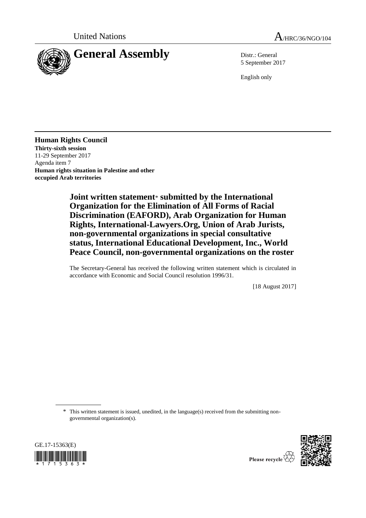

5 September 2017

English only

**Human Rights Council Thirty-sixth session** 11-29 September 2017 Agenda item 7 **Human rights situation in Palestine and other occupied Arab territories**

> **Joint written statement**\* **submitted by the International Organization for the Elimination of All Forms of Racial Discrimination (EAFORD), Arab Organization for Human Rights, International-Lawyers.Org, Union of Arab Jurists, non-governmental organizations in special consultative status, International Educational Development, Inc., World Peace Council, non-governmental organizations on the roster**

> The Secretary-General has received the following written statement which is circulated in accordance with Economic and Social Council resolution 1996/31.

> > [18 August 2017]

\* This written statement is issued, unedited, in the language(s) received from the submitting nongovernmental organization(s).





Please recycle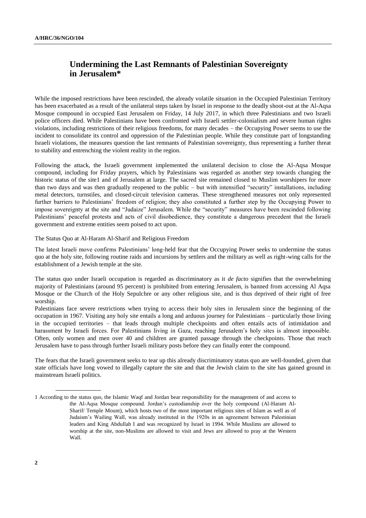## **Undermining the Last Remnants of Palestinian Sovereignty in Jerusalem\***

While the imposed restrictions have been rescinded, the already volatile situation in the Occupied Palestinian Territory has been exacerbated as a result of the unilateral steps taken by Israel in response to the deadly shoot-out at the Al-Aqsa Mosque compound in occupied East Jerusalem on Friday, 14 July 2017, in which three Palestinians and two Israeli police officers died. While Palestinians have been confronted with Israeli settler-colonialism and severe human rights violations, including restrictions of their religious freedoms, for many decades – the Occupying Power seems to use the incident to consolidate its control and oppression of the Palestinian people. While they constitute part of longstanding Israeli violations, the measures question the last remnants of Palestinian sovereignty, thus representing a further threat to stability and entrenching the violent reality in the region.

Following the attack, the Israeli government implemented the unilateral decision to close the Al-Aqsa Mosque compound, including for Friday prayers, which by Palestinians was regarded as another step towards changing the historic status of the site1 and of Jerusalem at large. The sacred site remained closed to Muslim worshipers for more than two days and was then gradually reopened to the public – but with intensified "security" installations, including metal detectors, turnstiles, and closed-circuit television cameras. These strengthened measures not only represented further barriers to Palestinians' freedom of religion; they also constituted a further step by the Occupying Power to impose sovereignty at the site and "Judaize" Jerusalem. While the "security" measures have been rescinded following Palestinians' peaceful protests and acts of civil disobedience, they constitute a dangerous precedent that the Israeli government and extreme entities seem poised to act upon.

The Status Quo at Al-Haram Al-Sharif and Religious Freedom

The latest Israeli move confirms Palestinians' long-held fear that the Occupying Power seeks to undermine the status quo at the holy site, following routine raids and incursions by settlers and the military as well as right-wing calls for the establishment of a Jewish temple at the site.

The status quo under Israeli occupation is regarded as discriminatory as it *de facto* signifies that the overwhelming majority of Palestinians (around 95 percent) is prohibited from entering Jerusalem, is banned from accessing Al Aqsa Mosque or the Church of the Holy Sepulchre or any other religious site, and is thus deprived of their right of free worship.

Palestinians face severe restrictions when trying to access their holy sites in Jerusalem since the beginning of the occupation in 1967. Visiting any holy site entails a long and arduous journey for Palestinians – particularly those living in the occupied territories – that leads through multiple checkpoints and often entails acts of intimidation and harassment by Israeli forces. For Palestinians living in Gaza, reaching Jerusalem's holy sites is almost impossible. Often, only women and men over 40 and children are granted passage through the checkpoints. Those that reach Jerusalem have to pass through further Israeli military posts before they can finally enter the compound.

The fears that the Israeli government seeks to tear up this already discriminatory status quo are well-founded, given that state officials have long vowed to illegally capture the site and that the Jewish claim to the site has gained ground in mainstream Israeli politics.

<sup>1</sup> According to the status quo, the Islamic Waqf and Jordan bear responsibility for the management of and access to the Al-Aqsa Mosque compound. Jordan's custodianship over the holy compound (Al-Haram Al-Sharif/ Temple Mount), which hosts two of the most important religious sites of Islam as well as of Judaism's Wailing Wall, was already instituted in the 1920s in an agreement between Palestinian leaders and King Abdullah I and was recognized by Israel in 1994. While Muslims are allowed to worship at the site, non-Muslims are allowed to visit and Jews are allowed to pray at the Western Wall.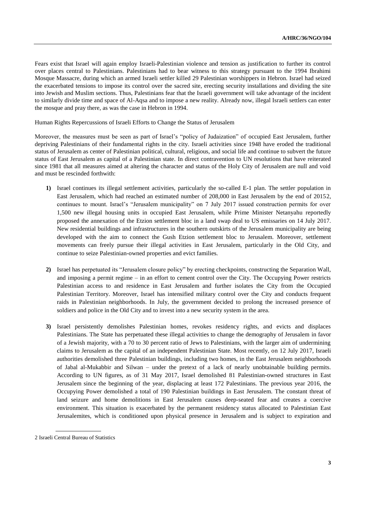Fears exist that Israel will again employ Israeli-Palestinian violence and tension as justification to further its control over places central to Palestinians. Palestinians had to bear witness to this strategy pursuant to the 1994 Ibrahimi Mosque Massacre, during which an armed Israeli settler killed 29 Palestinian worshippers in Hebron. Israel had seized the exacerbated tensions to impose its control over the sacred site, erecting security installations and dividing the site into Jewish and Muslim sections. Thus, Palestinians fear that the Israeli government will take advantage of the incident to similarly divide time and space of Al-Aqsa and to impose a new reality. Already now, illegal Israeli settlers can enter the mosque and pray there, as was the case in Hebron in 1994.

Human Rights Repercussions of Israeli Efforts to Change the Status of Jerusalem

Moreover, the measures must be seen as part of Israel's "policy of Judaization" of occupied East Jerusalem, further depriving Palestinians of their fundamental rights in the city. Israeli activities since 1948 have eroded the traditional status of Jerusalem as center of Palestinian political, cultural, religious, and social life and continue to subvert the future status of East Jerusalem as capital of a Palestinian state. In direct contravention to UN resolutions that have reiterated since 1981 that all measures aimed at altering the character and status of the Holy City of Jerusalem are null and void and must be rescinded forthwith:

- **1)** Israel continues its illegal settlement activities, particularly the so-called E-1 plan. The settler population in East Jerusalem, which had reached an estimated number of 208,000 in East Jerusalem by the end of 20152, continues to mount. Israel's "Jerusalem municipality" on 7 July 2017 issued construction permits for over 1,500 new illegal housing units in occupied East Jerusalem, while Prime Minister Netanyahu reportedly proposed the annexation of the Etzion settlement bloc in a land swap deal to US emissaries on 14 July 2017. New residential buildings and infrastructures in the southern outskirts of the Jerusalem municipality are being developed with the aim to connect the Gush Etzion settlement bloc to Jerusalem. Moreover, settlement movements can freely pursue their illegal activities in East Jerusalem, particularly in the Old City, and continue to seize Palestinian-owned properties and evict families.
- **2)** Israel has perpetuated its "Jerusalem closure policy" by erecting checkpoints, constructing the Separation Wall, and imposing a permit regime – in an effort to cement control over the City. The Occupying Power restricts Palestinian access to and residence in East Jerusalem and further isolates the City from the Occupied Palestinian Territory. Moreover, Israel has intensified military control over the City and conducts frequent raids in Palestinian neighborhoods. In July, the government decided to prolong the increased presence of soldiers and police in the Old City and to invest into a new security system in the area.
- **3)** Israel persistently demolishes Palestinian homes, revokes residency rights, and evicts and displaces Palestinians. The State has perpetuated these illegal activities to change the demography of Jerusalem in favor of a Jewish majority, with a 70 to 30 percent ratio of Jews to Palestinians, with the larger aim of undermining claims to Jerusalem as the capital of an independent Palestinian State. Most recently, on 12 July 2017, Israeli authorities demolished three Palestinian buildings, including two homes, in the East Jerusalem neighborhoods of Jabal al-Mukabbir and Silwan – under the pretext of a lack of nearly unobtainable building permits. According to UN figures, as of 31 May 2017, Israel demolished 81 Palestinian-owned structures in East Jerusalem since the beginning of the year, displacing at least 172 Palestinians. The previous year 2016, the Occupying Power demolished a total of 190 Palestinian buildings in East Jerusalem. The constant threat of land seizure and home demolitions in East Jerusalem causes deep-seated fear and creates a coercive environment. This situation is exacerbated by the permanent residency status allocated to Palestinian East Jerusalemites, which is conditioned upon physical presence in Jerusalem and is subject to expiration and

<sup>2</sup> Israeli Central Bureau of Statistics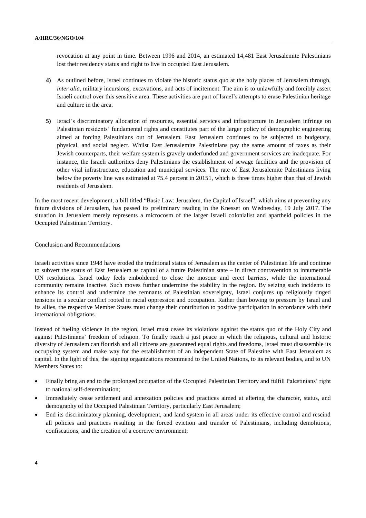revocation at any point in time. Between 1996 and 2014, an estimated 14,481 East Jerusalemite Palestinians lost their residency status and right to live in occupied East Jerusalem.

- **4)** As outlined before, Israel continues to violate the historic status quo at the holy places of Jerusalem through, *inter alia*, military incursions, excavations, and acts of incitement. The aim is to unlawfully and forcibly assert Israeli control over this sensitive area. These activities are part of Israel's attempts to erase Palestinian heritage and culture in the area.
- **5)** Israel's discriminatory allocation of resources, essential services and infrastructure in Jerusalem infringe on Palestinian residents' fundamental rights and constitutes part of the larger policy of demographic engineering aimed at forcing Palestinians out of Jerusalem. East Jerusalem continues to be subjected to budgetary, physical, and social neglect. Whilst East Jerusalemite Palestinians pay the same amount of taxes as their Jewish counterparts, their welfare system is gravely underfunded and government services are inadequate. For instance, the Israeli authorities deny Palestinians the establishment of sewage facilities and the provision of other vital infrastructure, education and municipal services. The rate of East Jerusalemite Palestinians living below the poverty line was estimated at 75.4 percent in 20151, which is three times higher than that of Jewish residents of Jerusalem.

In the most recent development, a bill titled "Basic Law: Jerusalem, the Capital of Israel", which aims at preventing any future divisions of Jerusalem, has passed its preliminary reading in the Knesset on Wednesday, 19 July 2017. The situation in Jerusalem merely represents a microcosm of the larger Israeli colonialist and apartheid policies in the Occupied Palestinian Territory.

## Conclusion and Recommendations

Israeli activities since 1948 have eroded the traditional status of Jerusalem as the center of Palestinian life and continue to subvert the status of East Jerusalem as capital of a future Palestinian state – in direct contravention to innumerable UN resolutions. Israel today feels emboldened to close the mosque and erect barriers, while the international community remains inactive. Such moves further undermine the stability in the region. By seizing such incidents to enhance its control and undermine the remnants of Palestinian sovereignty, Israel conjures up religiously tinged tensions in a secular conflict rooted in racial oppression and occupation. Rather than bowing to pressure by Israel and its allies, the respective Member States must change their contribution to positive participation in accordance with their international obligations.

Instead of fueling violence in the region, Israel must cease its violations against the status quo of the Holy City and against Palestinians' freedom of religion. To finally reach a just peace in which the religious, cultural and historic diversity of Jerusalem can flourish and all citizens are guaranteed equal rights and freedoms, Israel must disassemble its occupying system and make way for the establishment of an independent State of Palestine with East Jerusalem as capital. In the light of this, the signing organizations recommend to the United Nations, to its relevant bodies, and to UN Members States to:

- Finally bring an end to the prolonged occupation of the Occupied Palestinian Territory and fulfill Palestinians' right to national self-determination;
- Immediately cease settlement and annexation policies and practices aimed at altering the character, status, and demography of the Occupied Palestinian Territory, particularly East Jerusalem;
- End its discriminatory planning, development, and land system in all areas under its effective control and rescind all policies and practices resulting in the forced eviction and transfer of Palestinians, including demolitions, confiscations, and the creation of a coercive environment;